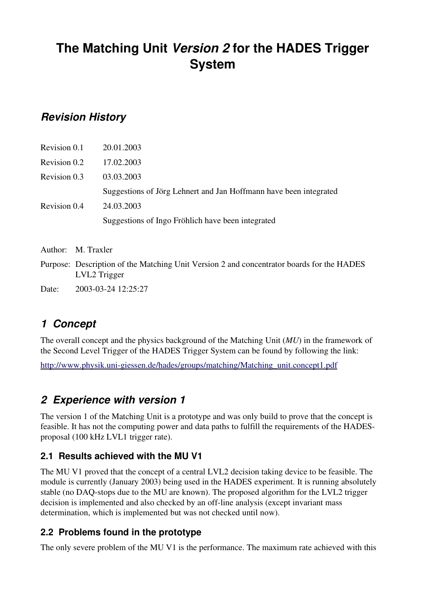# **The Matching Unit** *Version 2* **for the HADES Trigger System**

## *Revision History*

| Revision 0.1 | 20.01.2003                                                        |
|--------------|-------------------------------------------------------------------|
| Revision 0.2 | 17.02.2003                                                        |
| Revision 0.3 | 03.03.2003                                                        |
|              | Suggestions of Jörg Lehnert and Jan Hoffmann have been integrated |
| Revision 0.4 | 24.03.2003                                                        |
|              | Suggestions of Ingo Fröhlich have been integrated                 |

Author: M. Traxler

Purpose: Description of the Matching Unit Version 2 and concentrator boards for the HADES LVL2 Trigger

Date: 2003-03-24 12:25:27

## *1 Concept*

The overall concept and the physics background of the Matching Unit (*MU*) in the framework of the Second Level Trigger of the HADES Trigger System can be found by following the link:

http://www.physik.uni-giessen.de/hades/groups/matching/Matching\_unit.concept1.pdf

## *2 Experience with version 1*

The version 1 of the Matching Unit is a prototype and was only build to prove that the concept is feasible. It has not the computing power and data paths to fulfill the requirements of the HADESproposal (100 kHz LVL1 trigger rate).

#### **2.1 Results achieved with the MU V1**

The MU V1 proved that the concept of a central LVL2 decision taking device to be feasible. The module is currently (January 2003) being used in the HADES experiment. It is running absolutely stable (no DAQ-stops due to the MU are known). The proposed algorithm for the LVL2 trigger decision is implemented and also checked by an off-line analysis (except invariant mass determination, which is implemented but was not checked until now).

### **2.2 Problems found in the prototype**

The only severe problem of the MU V1 is the performance. The maximum rate achieved with this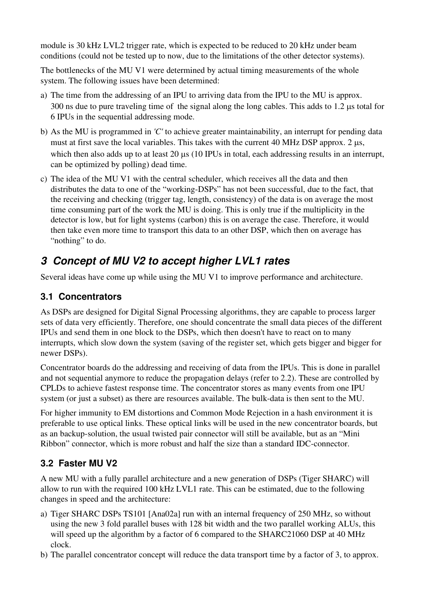module is 30 kHz LVL2 trigger rate, which is expected to be reduced to 20 kHz under beam conditions (could not be tested up to now, due to the limitations of the other detector systems).

The bottlenecks of the MU V1 were determined by actual timing measurements of the whole system. The following issues have been determined:

- a) The time from the addressing of an IPU to arriving data from the IPU to the MU is approx. 300 ns due to pure traveling time of the signal along the long cables. This adds to 1.2 us total for 6 IPUs in the sequential addressing mode.
- b) As the MU is programmed in *'C'* to achieve greater maintainability, an interrupt for pending data must at first save the local variables. This takes with the current  $40$  MHz DSP approx.  $2 \mu s$ , which then also adds up to at least 20  $\mu$ s (10 IPUs in total, each addressing results in an interrupt, can be optimized by polling) dead time.
- c) The idea of the MU V1 with the central scheduler, which receives all the data and then distributes the data to one of the "working-DSPs" has not been successful, due to the fact, that the receiving and checking (trigger tag, length, consistency) of the data is on average the most time consuming part of the work the MU is doing. This is only true if the multiplicity in the detector is low, but for light systems (carbon) this is on average the case. Therefore, it would then take even more time to transport this data to an other DSP, which then on average has "nothing" to do.

## *3 Concept of MU V2 to accept higher LVL1 rates*

Several ideas have come up while using the MU V1 to improve performance and architecture.

## **3.1 Concentrators**

As DSPs are designed for Digital Signal Processing algorithms, they are capable to process larger sets of data very efficiently. Therefore, one should concentrate the small data pieces of the different IPUs and send them in one block to the DSPs, which then doesn't have to react on to many interrupts, which slow down the system (saving of the register set, which gets bigger and bigger for newer DSPs).

Concentrator boards do the addressing and receiving of data from the IPUs. This is done in parallel and not sequential anymore to reduce the propagation delays (refer to 2.2). These are controlled by CPLDs to achieve fastest response time. The concentrator stores as many events from one IPU system (or just a subset) as there are resources available. The bulk-data is then sent to the MU.

For higher immunity to EM distortions and Common Mode Rejection in a hash environment it is preferable to use optical links. These optical links will be used in the new concentrator boards, but as an backup-solution, the usual twisted pair connector will still be available, but as an "Mini Ribbon" connector, which is more robust and half the size than a standard IDC-connector.

### **3.2 Faster MU V2**

A new MU with a fully parallel architecture and a new generation of DSPs (Tiger SHARC) will allow to run with the required 100 kHz LVL1 rate. This can be estimated, due to the following changes in speed and the architecture:

- a) Tiger SHARC DSPs TS101 [Ana02a] run with an internal frequency of 250 MHz, so without using the new 3 fold parallel buses with 128 bit width and the two parallel working ALUs, this will speed up the algorithm by a factor of 6 compared to the SHARC21060 DSP at 40 MHz clock.
- b) The parallel concentrator concept will reduce the data transport time by a factor of 3, to approx.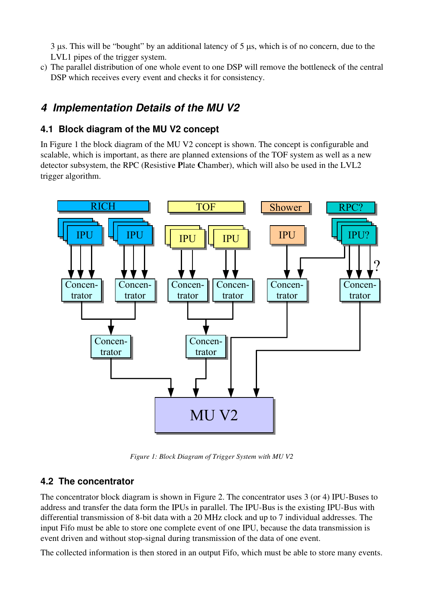$3 \mu s$ . This will be "bought" by an additional latency of  $5 \mu s$ , which is of no concern, due to the LVL1 pipes of the trigger system.

c) The parallel distribution of one whole event to one DSP will remove the bottleneck of the central DSP which receives every event and checks it for consistency.

## *4 Implementation Details of the MU V2*

### **4.1 Block diagram of the MU V2 concept**

In Figure 1 the block diagram of the MU V2 concept is shown. The concept is configurable and scalable, which is important, as there are planned extensions of the TOF system as well as a new detector subsystem, the RPC (Resistive Plate Chamber), which will also be used in the LVL2 trigger algorithm.



*Figure 1: Block Diagram of Trigger System with MU V2*

### **4.2 The concentrator**

The concentrator block diagram is shown in Figure 2. The concentrator uses 3 (or 4) IPU-Buses to address and transfer the data form the IPUs in parallel. The IPU-Bus is the existing IPU-Bus with differential transmission of 8-bit data with a 20 MHz clock and up to 7 individual addresses. The input Fifo must be able to store one complete event of one IPU, because the data transmission is event driven and without stop-signal during transmission of the data of one event.

The collected information is then stored in an output Fifo, which must be able to store many events.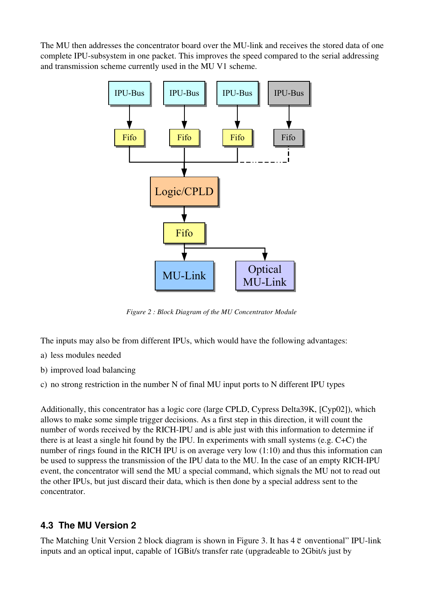The MU then addresses the concentrator board over the MU-link and receives the stored data of one complete IPU-subsystem in one packet. This improves the speed compared to the serial addressing and transmission scheme currently used in the MU V1 scheme.



*Figure 2 : Block Diagram of the MU Concentrator Module*

The inputs may also be from different IPUs, which would have the following advantages:

- a) less modules needed
- b) improved load balancing

c) no strong restriction in the number N of final MU input ports to N different IPU types

Additionally, this concentrator has a logic core (large CPLD, Cypress Delta39K, [Cyp02]), which allows to make some simple trigger decisions. As a first step in this direction, it will count the number of words received by the RICH-IPU and is able just with this information to determine if there is at least a single hit found by the IPU. In experiments with small systems (e.g. C+C) the number of rings found in the RICH IPU is on average very low (1:10) and thus this information can be used to suppress the transmission of the IPU data to the MU. In the case of an empty RICH-IPU event, the concentrator will send the MU a special command, which signals the MU not to read out the other IPUs, but just discard their data, which is then done by a special address sent to the concentrator.

#### **4.3 The MU Version 2**

The Matching Unit Version 2 block diagram is shown in Figure 3. It has  $4 \mathfrak{E}$  onventional" IPU-link inputs and an optical input, capable of 1GBit/s transfer rate (upgradeable to 2Gbit/s just by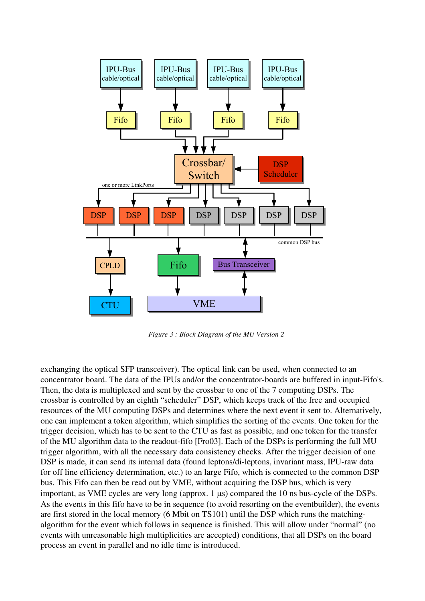

*Figure 3 : Block Diagram of the MU Version 2*

exchanging the optical SFP transceiver). The optical link can be used, when connected to an concentrator board. The data of the IPUs and/or the concentrator-boards are buffered in input-Fifo's. Then, the data is multiplexed and sent by the crossbar to one of the 7 computing DSPs. The crossbar is controlled by an eighth "scheduler" DSP, which keeps track of the free and occupied resources of the MU computing DSPs and determines where the next event it sent to. Alternatively, one can implement a token algorithm, which simplifies the sorting of the events. One token for the trigger decision, which has to be sent to the CTU as fast as possible, and one token for the transfer of the MU algorithm data to the readout-fifo [Fro03]. Each of the DSPs is performing the full MU trigger algorithm, with all the necessary data consistency checks. After the trigger decision of one DSP is made, it can send its internal data (found leptons/di-leptons, invariant mass, IPU-raw data for off line efficiency determination, etc.) to an large Fifo, which is connected to the common DSP bus. This Fifo can then be read out by VME, without acquiring the DSP bus, which is very important, as VME cycles are very long (approx.  $1 \mu s$ ) compared the 10 ns bus-cycle of the DSPs. As the events in this fifo have to be in sequence (to avoid resorting on the eventbuilder), the events are first stored in the local memory (6 Mbit on TS101) until the DSP which runs the matchingalgorithm for the event which follows in sequence is finished. This will allow under "normal" (no events with unreasonable high multiplicities are accepted) conditions, that all DSPs on the board process an event in parallel and no idle time is introduced.